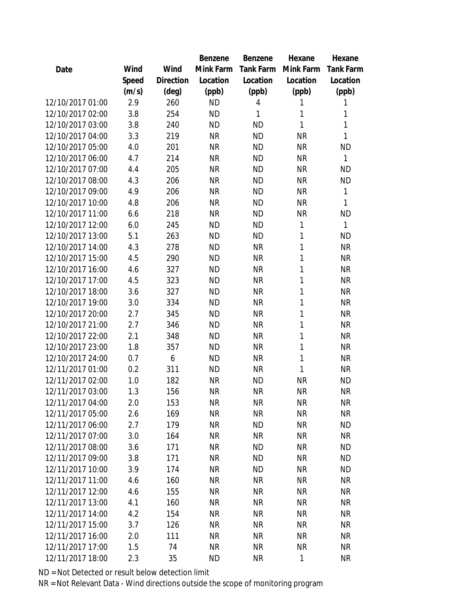|                  |       |                | Benzene   | Benzene   | Hexane       | Hexane           |
|------------------|-------|----------------|-----------|-----------|--------------|------------------|
| Date             | Wind  | Wind           | Mink Farm | Tank Farm | Mink Farm    | <b>Tank Farm</b> |
|                  | Speed | Direction      | Location  | Location  | Location     | Location         |
|                  | (m/s) | $(\text{deg})$ | (ppb)     | (ppb)     | (ppb)        | (ppb)            |
| 12/10/2017 01:00 | 2.9   | 260            | <b>ND</b> | 4         | 1            | 1                |
| 12/10/2017 02:00 | 3.8   | 254            | <b>ND</b> | 1         | 1            | 1                |
| 12/10/2017 03:00 | 3.8   | 240            | <b>ND</b> | <b>ND</b> | 1            | 1                |
| 12/10/2017 04:00 | 3.3   | 219            | <b>NR</b> | <b>ND</b> | <b>NR</b>    | 1                |
| 12/10/2017 05:00 | 4.0   | 201            | <b>NR</b> | <b>ND</b> | <b>NR</b>    | <b>ND</b>        |
| 12/10/2017 06:00 | 4.7   | 214            | <b>NR</b> | <b>ND</b> | <b>NR</b>    | 1                |
| 12/10/2017 07:00 | 4.4   | 205            | <b>NR</b> | <b>ND</b> | <b>NR</b>    | <b>ND</b>        |
| 12/10/2017 08:00 | 4.3   | 206            | <b>NR</b> | <b>ND</b> | <b>NR</b>    | <b>ND</b>        |
| 12/10/2017 09:00 | 4.9   | 206            | <b>NR</b> | <b>ND</b> | <b>NR</b>    | 1                |
| 12/10/2017 10:00 | 4.8   | 206            | <b>NR</b> | <b>ND</b> | <b>NR</b>    | 1                |
| 12/10/2017 11:00 | 6.6   | 218            | <b>NR</b> | <b>ND</b> | <b>NR</b>    | <b>ND</b>        |
| 12/10/2017 12:00 | 6.0   | 245            | <b>ND</b> | <b>ND</b> | $\mathbf{1}$ | 1                |
| 12/10/2017 13:00 | 5.1   | 263            | <b>ND</b> | <b>ND</b> | 1            | <b>ND</b>        |
| 12/10/2017 14:00 | 4.3   | 278            | <b>ND</b> | <b>NR</b> | 1            | <b>NR</b>        |
| 12/10/2017 15:00 | 4.5   | 290            | <b>ND</b> | <b>NR</b> | 1            | <b>NR</b>        |
| 12/10/2017 16:00 | 4.6   | 327            | <b>ND</b> | <b>NR</b> | 1            | <b>NR</b>        |
| 12/10/2017 17:00 | 4.5   | 323            | <b>ND</b> | <b>NR</b> | $\mathbf{1}$ | <b>NR</b>        |
| 12/10/2017 18:00 | 3.6   | 327            | <b>ND</b> | <b>NR</b> | $\mathbf{1}$ | <b>NR</b>        |
| 12/10/2017 19:00 | 3.0   | 334            | <b>ND</b> | <b>NR</b> | 1            | <b>NR</b>        |
| 12/10/2017 20:00 | 2.7   | 345            | <b>ND</b> | <b>NR</b> | 1            | <b>NR</b>        |
| 12/10/2017 21:00 | 2.7   | 346            | <b>ND</b> | <b>NR</b> | 1            | <b>NR</b>        |
| 12/10/2017 22:00 | 2.1   | 348            | <b>ND</b> | <b>NR</b> | $\mathbf{1}$ | <b>NR</b>        |
| 12/10/2017 23:00 | 1.8   | 357            | <b>ND</b> | <b>NR</b> | 1            | <b>NR</b>        |
| 12/10/2017 24:00 | 0.7   | 6              | <b>ND</b> | <b>NR</b> | $\mathbf{1}$ | <b>NR</b>        |
| 12/11/2017 01:00 | 0.2   | 311            | <b>ND</b> | <b>NR</b> | $\mathbf{1}$ | <b>NR</b>        |
| 12/11/2017 02:00 | 1.0   | 182            | <b>NR</b> | <b>ND</b> | <b>NR</b>    | <b>ND</b>        |
| 12/11/2017 03:00 | 1.3   | 156            | <b>NR</b> | <b>NR</b> | <b>NR</b>    | <b>NR</b>        |
| 12/11/2017 04:00 | 2.0   | 153            | <b>NR</b> | <b>NR</b> | <b>NR</b>    | <b>NR</b>        |
| 12/11/2017 05:00 | 2.6   | 169            | <b>NR</b> | <b>NR</b> | <b>NR</b>    | <b>NR</b>        |
| 12/11/2017 06:00 | 2.7   | 179            | <b>NR</b> | <b>ND</b> | <b>NR</b>    | <b>ND</b>        |
| 12/11/2017 07:00 | 3.0   | 164            | <b>NR</b> | <b>NR</b> | <b>NR</b>    | <b>NR</b>        |
| 12/11/2017 08:00 | 3.6   | 171            | <b>NR</b> | <b>ND</b> | <b>NR</b>    | <b>ND</b>        |
| 12/11/2017 09:00 | 3.8   | 171            | <b>NR</b> | <b>ND</b> | <b>NR</b>    | <b>ND</b>        |
| 12/11/2017 10:00 | 3.9   | 174            | <b>NR</b> | <b>ND</b> | <b>NR</b>    | <b>ND</b>        |
| 12/11/2017 11:00 | 4.6   | 160            | <b>NR</b> | <b>NR</b> | <b>NR</b>    | <b>NR</b>        |
| 12/11/2017 12:00 | 4.6   | 155            | <b>NR</b> | <b>NR</b> | <b>NR</b>    | <b>NR</b>        |
| 12/11/2017 13:00 | 4.1   | 160            | <b>NR</b> | <b>NR</b> | <b>NR</b>    | <b>NR</b>        |
| 12/11/2017 14:00 | 4.2   | 154            | <b>NR</b> | <b>NR</b> | <b>NR</b>    | NR               |
| 12/11/2017 15:00 | 3.7   | 126            | <b>NR</b> | <b>NR</b> | <b>NR</b>    | <b>NR</b>        |
| 12/11/2017 16:00 | 2.0   | 111            | <b>NR</b> | <b>NR</b> | <b>NR</b>    | NR               |
| 12/11/2017 17:00 | 1.5   | 74             | <b>NR</b> | <b>NR</b> | <b>NR</b>    | <b>NR</b>        |
| 12/11/2017 18:00 | 2.3   | 35             | <b>ND</b> | <b>NR</b> | $\mathbf{1}$ | <b>NR</b>        |
|                  |       |                |           |           |              |                  |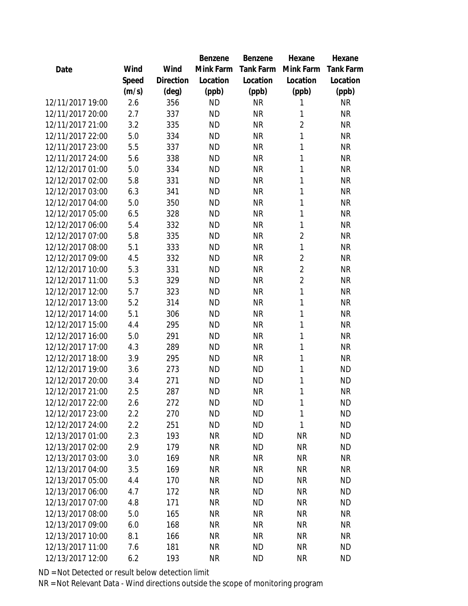|                  |       |                | Benzene   | Benzene   | Hexane         | Hexane           |
|------------------|-------|----------------|-----------|-----------|----------------|------------------|
| Date             | Wind  | Wind           | Mink Farm | Tank Farm | Mink Farm      | <b>Tank Farm</b> |
|                  | Speed | Direction      | Location  | Location  | Location       | Location         |
|                  | (m/s) | $(\text{deg})$ | (ppb)     | (ppb)     | (ppb)          | (ppb)            |
| 12/11/2017 19:00 | 2.6   | 356            | <b>ND</b> | <b>NR</b> | 1              | <b>NR</b>        |
| 12/11/2017 20:00 | 2.7   | 337            | <b>ND</b> | <b>NR</b> | 1              | <b>NR</b>        |
| 12/11/2017 21:00 | 3.2   | 335            | <b>ND</b> | <b>NR</b> | $\overline{2}$ | <b>NR</b>        |
| 12/11/2017 22:00 | 5.0   | 334            | <b>ND</b> | <b>NR</b> | 1              | <b>NR</b>        |
| 12/11/2017 23:00 | 5.5   | 337            | <b>ND</b> | <b>NR</b> | 1              | <b>NR</b>        |
| 12/11/2017 24:00 | 5.6   | 338            | <b>ND</b> | <b>NR</b> | 1              | <b>NR</b>        |
| 12/12/2017 01:00 | 5.0   | 334            | <b>ND</b> | <b>NR</b> | 1              | <b>NR</b>        |
| 12/12/2017 02:00 | 5.8   | 331            | <b>ND</b> | <b>NR</b> | 1              | <b>NR</b>        |
| 12/12/2017 03:00 | 6.3   | 341            | <b>ND</b> | <b>NR</b> | 1              | <b>NR</b>        |
| 12/12/2017 04:00 | 5.0   | 350            | <b>ND</b> | <b>NR</b> | 1              | <b>NR</b>        |
| 12/12/2017 05:00 | 6.5   | 328            | <b>ND</b> | <b>NR</b> | 1              | <b>NR</b>        |
| 12/12/2017 06:00 | 5.4   | 332            | <b>ND</b> | <b>NR</b> | 1              | <b>NR</b>        |
| 12/12/2017 07:00 | 5.8   | 335            | <b>ND</b> | <b>NR</b> | $\overline{2}$ | <b>NR</b>        |
| 12/12/2017 08:00 | 5.1   | 333            | <b>ND</b> | <b>NR</b> | 1              | <b>NR</b>        |
| 12/12/2017 09:00 | 4.5   | 332            | <b>ND</b> | <b>NR</b> | $\overline{2}$ | <b>NR</b>        |
| 12/12/2017 10:00 | 5.3   | 331            | <b>ND</b> | <b>NR</b> | $\overline{2}$ | <b>NR</b>        |
| 12/12/2017 11:00 | 5.3   | 329            | <b>ND</b> | <b>NR</b> | $\overline{2}$ | <b>NR</b>        |
| 12/12/2017 12:00 | 5.7   | 323            | <b>ND</b> | <b>NR</b> | 1              | <b>NR</b>        |
| 12/12/2017 13:00 | 5.2   | 314            | <b>ND</b> | <b>NR</b> | 1              | <b>NR</b>        |
| 12/12/2017 14:00 | 5.1   | 306            | <b>ND</b> | <b>NR</b> | 1              | <b>NR</b>        |
| 12/12/2017 15:00 | 4.4   | 295            | <b>ND</b> | <b>NR</b> | 1              | <b>NR</b>        |
| 12/12/2017 16:00 | 5.0   | 291            | <b>ND</b> | <b>NR</b> | 1              | <b>NR</b>        |
| 12/12/2017 17:00 | 4.3   | 289            | <b>ND</b> | <b>NR</b> | 1              | <b>NR</b>        |
| 12/12/2017 18:00 | 3.9   | 295            | <b>ND</b> | <b>NR</b> | 1              | <b>NR</b>        |
| 12/12/2017 19:00 | 3.6   | 273            | <b>ND</b> | <b>ND</b> | 1              | <b>ND</b>        |
| 12/12/2017 20:00 | 3.4   | 271            | <b>ND</b> | <b>ND</b> | 1              | <b>ND</b>        |
| 12/12/2017 21:00 | 2.5   | 287            | <b>ND</b> | <b>NR</b> | 1              | <b>NR</b>        |
| 12/12/2017 22:00 | 2.6   | 272            | <b>ND</b> | <b>ND</b> | 1              | <b>ND</b>        |
| 12/12/2017 23:00 | 2.2   | 270            | <b>ND</b> | <b>ND</b> | 1              | <b>ND</b>        |
| 12/12/2017 24:00 | 2.2   | 251            | <b>ND</b> | <b>ND</b> | 1              | <b>ND</b>        |
| 12/13/2017 01:00 | 2.3   | 193            | <b>NR</b> | ND.       | <b>NR</b>      | <b>ND</b>        |
| 12/13/2017 02:00 | 2.9   | 179            | <b>NR</b> | <b>ND</b> | <b>NR</b>      | <b>ND</b>        |
| 12/13/2017 03:00 | 3.0   | 169            | <b>NR</b> | <b>NR</b> | <b>NR</b>      | <b>NR</b>        |
| 12/13/2017 04:00 | 3.5   | 169            | <b>NR</b> | <b>NR</b> | <b>NR</b>      | <b>NR</b>        |
| 12/13/2017 05:00 | 4.4   | 170            | <b>NR</b> | <b>ND</b> | <b>NR</b>      | <b>ND</b>        |
| 12/13/2017 06:00 | 4.7   | 172            | <b>NR</b> | <b>ND</b> | <b>NR</b>      | <b>ND</b>        |
| 12/13/2017 07:00 | 4.8   | 171            | <b>NR</b> | <b>ND</b> | <b>NR</b>      | <b>ND</b>        |
| 12/13/2017 08:00 | 5.0   | 165            | <b>NR</b> | <b>NR</b> | <b>NR</b>      | <b>NR</b>        |
| 12/13/2017 09:00 | 6.0   | 168            | <b>NR</b> | <b>NR</b> | <b>NR</b>      | <b>NR</b>        |
| 12/13/2017 10:00 | 8.1   | 166            | NR        | <b>NR</b> | <b>NR</b>      | <b>NR</b>        |
| 12/13/2017 11:00 | 7.6   | 181            | <b>NR</b> | <b>ND</b> | <b>NR</b>      | <b>ND</b>        |
| 12/13/2017 12:00 | 6.2   | 193            | <b>NR</b> | <b>ND</b> | <b>NR</b>      | <b>ND</b>        |
|                  |       |                |           |           |                |                  |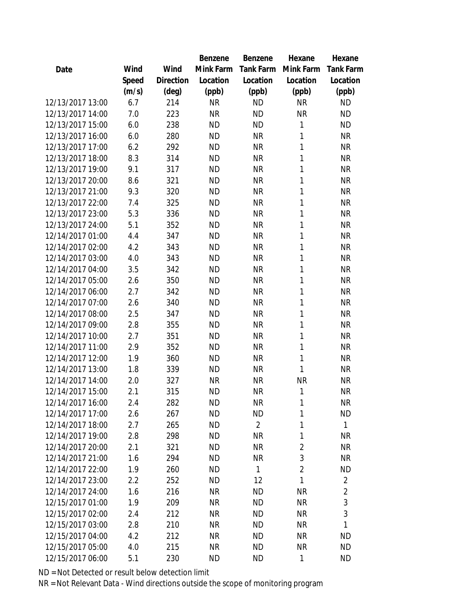|                  |       |           | <b>Benzene</b> | Benzene        | Hexane         | Hexane           |
|------------------|-------|-----------|----------------|----------------|----------------|------------------|
| Date             | Wind  | Wind      | Mink Farm      | Tank Farm      | Mink Farm      | <b>Tank Farm</b> |
|                  | Speed | Direction | Location       | Location       | Location       | Location         |
|                  | (m/s) | (deg)     | (ppb)          | (ppb)          | (ppb)          | (ppb)            |
| 12/13/2017 13:00 | 6.7   | 214       | <b>NR</b>      | <b>ND</b>      | <b>NR</b>      | <b>ND</b>        |
| 12/13/2017 14:00 | 7.0   | 223       | <b>NR</b>      | <b>ND</b>      | <b>NR</b>      | <b>ND</b>        |
| 12/13/2017 15:00 | 6.0   | 238       | <b>ND</b>      | <b>ND</b>      | 1              | <b>ND</b>        |
| 12/13/2017 16:00 | 6.0   | 280       | <b>ND</b>      | <b>NR</b>      | 1              | <b>NR</b>        |
| 12/13/2017 17:00 | 6.2   | 292       | <b>ND</b>      | <b>NR</b>      | 1              | <b>NR</b>        |
| 12/13/2017 18:00 | 8.3   | 314       | <b>ND</b>      | <b>NR</b>      | $\mathbf{1}$   | <b>NR</b>        |
| 12/13/2017 19:00 | 9.1   | 317       | <b>ND</b>      | <b>NR</b>      | 1              | <b>NR</b>        |
| 12/13/2017 20:00 | 8.6   | 321       | <b>ND</b>      | <b>NR</b>      | 1              | <b>NR</b>        |
| 12/13/2017 21:00 | 9.3   | 320       | <b>ND</b>      | <b>NR</b>      | $\mathbf{1}$   | <b>NR</b>        |
| 12/13/2017 22:00 | 7.4   | 325       | <b>ND</b>      | <b>NR</b>      | 1              | <b>NR</b>        |
| 12/13/2017 23:00 | 5.3   | 336       | <b>ND</b>      | <b>NR</b>      | $\mathbf{1}$   | <b>NR</b>        |
| 12/13/2017 24:00 | 5.1   | 352       | <b>ND</b>      | <b>NR</b>      | $\mathbf{1}$   | <b>NR</b>        |
| 12/14/2017 01:00 | 4.4   | 347       | <b>ND</b>      | <b>NR</b>      | 1              | <b>NR</b>        |
| 12/14/2017 02:00 | 4.2   | 343       | <b>ND</b>      | <b>NR</b>      | 1              | <b>NR</b>        |
| 12/14/2017 03:00 | 4.0   | 343       | <b>ND</b>      | <b>NR</b>      | 1              | <b>NR</b>        |
| 12/14/2017 04:00 | 3.5   | 342       | <b>ND</b>      | <b>NR</b>      | $\mathbf{1}$   | <b>NR</b>        |
| 12/14/2017 05:00 | 2.6   | 350       | <b>ND</b>      | <b>NR</b>      | $\mathbf{1}$   | <b>NR</b>        |
| 12/14/2017 06:00 | 2.7   | 342       | <b>ND</b>      | <b>NR</b>      | $\mathbf{1}$   | <b>NR</b>        |
| 12/14/2017 07:00 | 2.6   | 340       | <b>ND</b>      | <b>NR</b>      | 1              | <b>NR</b>        |
| 12/14/2017 08:00 | 2.5   | 347       | <b>ND</b>      | <b>NR</b>      | 1              | <b>NR</b>        |
| 12/14/2017 09:00 | 2.8   | 355       | <b>ND</b>      | <b>NR</b>      | 1              | <b>NR</b>        |
| 12/14/2017 10:00 | 2.7   | 351       | <b>ND</b>      | <b>NR</b>      | $\mathbf{1}$   | <b>NR</b>        |
| 12/14/2017 11:00 | 2.9   | 352       | <b>ND</b>      | <b>NR</b>      | 1              | <b>NR</b>        |
| 12/14/2017 12:00 | 1.9   | 360       | <b>ND</b>      | <b>NR</b>      | $\mathbf{1}$   | <b>NR</b>        |
| 12/14/2017 13:00 | 1.8   | 339       | <b>ND</b>      | <b>NR</b>      | 1              | <b>NR</b>        |
| 12/14/2017 14:00 | 2.0   | 327       | <b>NR</b>      | <b>NR</b>      | <b>NR</b>      | <b>NR</b>        |
| 12/14/2017 15:00 | 2.1   | 315       | <b>ND</b>      | <b>NR</b>      | 1              | <b>NR</b>        |
| 12/14/2017 16:00 | 2.4   | 282       | <b>ND</b>      | <b>NR</b>      | 1              | <b>NR</b>        |
| 12/14/2017 17:00 | 2.6   | 267       | <b>ND</b>      | <b>ND</b>      | 1              | <b>ND</b>        |
| 12/14/2017 18:00 | 2.7   | 265       | <b>ND</b>      | $\overline{2}$ | $\mathbf{1}$   | 1                |
| 12/14/2017 19:00 | 2.8   | 298       | <b>ND</b>      | <b>NR</b>      | $\mathbf{1}$   | NR               |
| 12/14/2017 20:00 | 2.1   | 321       | <b>ND</b>      | <b>NR</b>      | $\overline{2}$ | <b>NR</b>        |
| 12/14/2017 21:00 | 1.6   | 294       | <b>ND</b>      | <b>NR</b>      | 3              | NR               |
| 12/14/2017 22:00 | 1.9   | 260       | <b>ND</b>      | 1              | $\overline{2}$ | <b>ND</b>        |
| 12/14/2017 23:00 | 2.2   | 252       | <b>ND</b>      | 12             | $\mathbf{1}$   | $\overline{2}$   |
| 12/14/2017 24:00 | 1.6   | 216       | <b>NR</b>      | ND             | <b>NR</b>      | $\overline{2}$   |
| 12/15/2017 01:00 | 1.9   | 209       | <b>NR</b>      | <b>ND</b>      | <b>NR</b>      | 3                |
| 12/15/2017 02:00 | 2.4   | 212       | <b>NR</b>      | <b>ND</b>      | <b>NR</b>      | 3                |
| 12/15/2017 03:00 | 2.8   | 210       | <b>NR</b>      | <b>ND</b>      | <b>NR</b>      | 1                |
| 12/15/2017 04:00 | 4.2   | 212       | <b>NR</b>      | <b>ND</b>      | <b>NR</b>      | <b>ND</b>        |
| 12/15/2017 05:00 | 4.0   | 215       | <b>NR</b>      | <b>ND</b>      | <b>NR</b>      | <b>ND</b>        |
| 12/15/2017 06:00 | 5.1   | 230       | <b>ND</b>      | <b>ND</b>      | $\mathbf{1}$   | <b>ND</b>        |
|                  |       |           |                |                |                |                  |